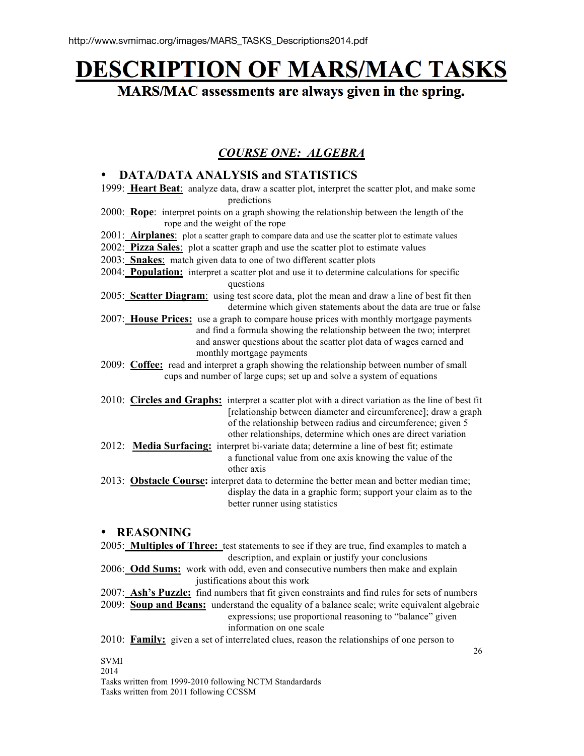# DESCRIPTION OF MARS/MAC TASKS

MARS/MAC assessments are always given in the spring.

## *COURSE ONE: ALGEBRA*

## • **DATA/DATA ANALYSIS and STATISTICS**

- 1999: **Heart Beat**: analyze data, draw a scatter plot, interpret the scatter plot, and make some predictions
- 2000: **Rope**: interpret points on a graph showing the relationship between the length of the rope and the weight of the rope
- 2001: **Airplanes**: plot a scatter graph to compare data and use the scatter plot to estimate values
- 2002: **Pizza Sales**: plot a scatter graph and use the scatter plot to estimate values
- 2003: **Snakes**: match given data to one of two different scatter plots
- 2004: **Population:** interpret a scatter plot and use it to determine calculations for specific questions
- 2005: **Scatter Diagram**: using test score data, plot the mean and draw a line of best fit then determine which given statements about the data are true or false
- 2007: **House Prices:** use a graph to compare house prices with monthly mortgage payments and find a formula showing the relationship between the two; interpret and answer questions about the scatter plot data of wages earned and monthly mortgage payments
- 2009: **Coffee:** read and interpret a graph showing the relationship between number of small cups and number of large cups; set up and solve a system of equations
- 2010: **Circles and Graphs:** interpret a scatter plot with a direct variation as the line of best fit [relationship between diameter and circumference]; draw a graph of the relationship between radius and circumference; given 5 other relationships, determine which ones are direct variation
- 2012: **Media Surfacing:** interpret bi-variate data; determine a line of best fit; estimate a functional value from one axis knowing the value of the other axis
- 2013: **Obstacle Course:** interpret data to determine the better mean and better median time; display the data in a graphic form; support your claim as to the better runner using statistics

## • **REASONING**

2005: **Multiples of Three:** test statements to see if they are true, find examples to match a description, and explain or justify your conclusions

- 2006: **Odd Sums:** work with odd, even and consecutive numbers then make and explain justifications about this work
- 2007: **Ash's Puzzle:** find numbers that fit given constraints and find rules for sets of numbers

2009: **Soup and Beans:** understand the equality of a balance scale; write equivalent algebraic expressions; use proportional reasoning to "balance" given

information on one scale

2010: **Family:** given a set of interrelated clues, reason the relationships of one person to

## SVMI

2014

Tasks written from 1999-2010 following NCTM Standardards Tasks written from 2011 following CCSSM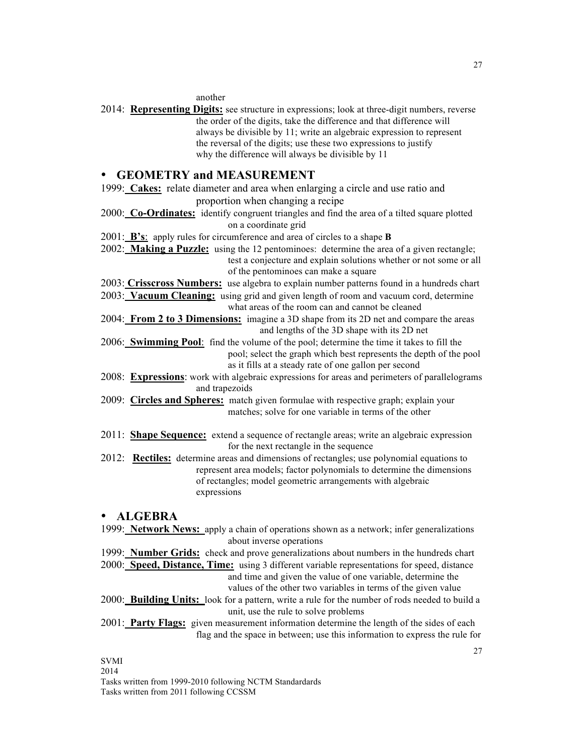#### another

2014: **Representing Digits:** see structure in expressions; look at three-digit numbers, reverse the order of the digits, take the difference and that difference will always be divisible by 11; write an algebraic expression to represent the reversal of the digits; use these two expressions to justify why the difference will always be divisible by 11

## • **GEOMETRY and MEASUREMENT**

1999: **Cakes:** relate diameter and area when enlarging a circle and use ratio and proportion when changing a recipe

2000: **Co-Ordinates:** identify congruent triangles and find the area of a tilted square plotted on a coordinate grid

2001: **B's**: apply rules for circumference and area of circles to a shape **B**

- 2002: **Making a Puzzle:** using the 12 pentominoes: determine the area of a given rectangle; test a conjecture and explain solutions whether or not some or all of the pentominoes can make a square
- 2003: **Crisscross Numbers:** use algebra to explain number patterns found in a hundreds chart

2003: **Vacuum Cleaning:** using grid and given length of room and vacuum cord, determine

what areas of the room can and cannot be cleaned

2004: **From 2 to 3 Dimensions:** imagine a 3D shape from its 2D net and compare the areas and lengths of the 3D shape with its 2D net

2006: **Swimming Pool**: find the volume of the pool; determine the time it takes to fill the pool; select the graph which best represents the depth of the pool as it fills at a steady rate of one gallon per second

- 2008: **Expressions**: work with algebraic expressions for areas and perimeters of parallelograms and trapezoids
- 2009: **Circles and Spheres:** match given formulae with respective graph; explain your matches; solve for one variable in terms of the other
- 2011: **Shape Sequence:** extend a sequence of rectangle areas; write an algebraic expression for the next rectangle in the sequence
- 2012: **Rectiles:** determine areas and dimensions of rectangles; use polynomial equations to represent area models; factor polynomials to determine the dimensions of rectangles; model geometric arrangements with algebraic expressions

#### • **ALGEBRA**

1999: **Network News:** apply a chain of operations shown as a network; infer generalizations about inverse operations

- 1999: **Number Grids:** check and prove generalizations about numbers in the hundreds chart
- 2000: **Speed, Distance, Time:** using 3 different variable representations for speed, distance and time and given the value of one variable, determine the values of the other two variables in terms of the given value
- 2000: **Building Units:** look for a pattern, write a rule for the number of rods needed to build a unit, use the rule to solve problems
- 2001: **Party Flags:** given measurement information determine the length of the sides of each flag and the space in between; use this information to express the rule for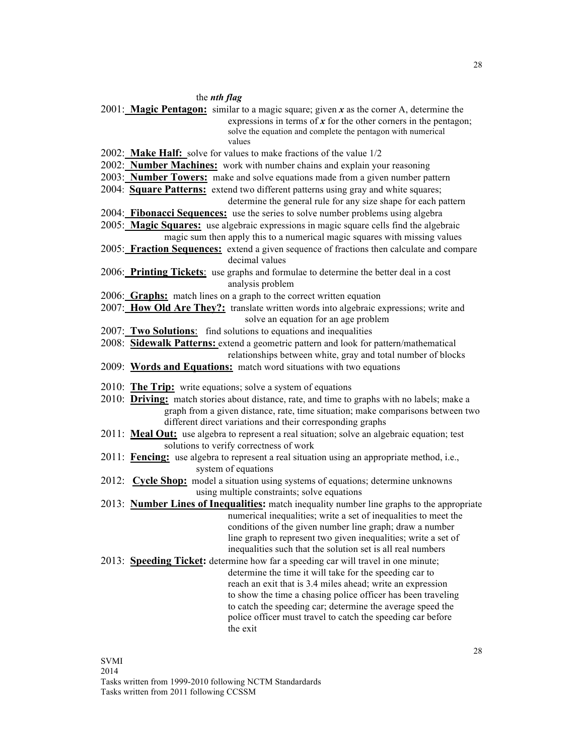#### the *nth flag*

2001: **Magic Pentagon:** similar to a magic square; given *x* as the corner A, determine the expressions in terms of *x* for the other corners in the pentagon; solve the equation and complete the pentagon with numerical values

2002: **Make Half:** solve for values to make fractions of the value 1/2

- 2002: **Number Machines:** work with number chains and explain your reasoning
- 2003: **Number Towers:** make and solve equations made from a given number pattern
- 2004: **Square Patterns:** extend two different patterns using gray and white squares;
	- determine the general rule for any size shape for each pattern
- 2004: **Fibonacci Sequences:** use the series to solve number problems using algebra
- 2005: **Magic Squares:** use algebraic expressions in magic square cells find the algebraic magic sum then apply this to a numerical magic squares with missing values
- 2005: **Fraction Sequences:** extend a given sequence of fractions then calculate and compare decimal values
- 2006: **Printing Tickets**: use graphs and formulae to determine the better deal in a cost analysis problem
- 2006: **Graphs:** match lines on a graph to the correct written equation
- 2007: **How Old Are They?:** translate written words into algebraic expressions; write and solve an equation for an age problem
- 2007: **Two Solutions**: find solutions to equations and inequalities
- 2008: **Sidewalk Patterns:** extend a geometric pattern and look for pattern/mathematical relationships between white, gray and total number of blocks
- 2009: **Words and Equations:** match word situations with two equations
- 2010: **The Trip:** write equations; solve a system of equations
- 2010: **Driving:** match stories about distance, rate, and time to graphs with no labels; make a graph from a given distance, rate, time situation; make comparisons between two different direct variations and their corresponding graphs
- 2011: **Meal Out:** use algebra to represent a real situation; solve an algebraic equation; test solutions to verify correctness of work
- 2011: **Fencing:** use algebra to represent a real situation using an appropriate method, i.e., system of equations
- 2012: **Cycle Shop:** model a situation using systems of equations; determine unknowns using multiple constraints; solve equations
- 2013: **Number Lines of Inequalities:** match inequality number line graphs to the appropriate numerical inequalities; write a set of inequalities to meet the conditions of the given number line graph; draw a number line graph to represent two given inequalities; write a set of inequalities such that the solution set is all real numbers
- 2013: **Speeding Ticket:** determine how far a speeding car will travel in one minute; determine the time it will take for the speeding car to reach an exit that is 3.4 miles ahead; write an expression to show the time a chasing police officer has been traveling to catch the speeding car; determine the average speed the police officer must travel to catch the speeding car before the exit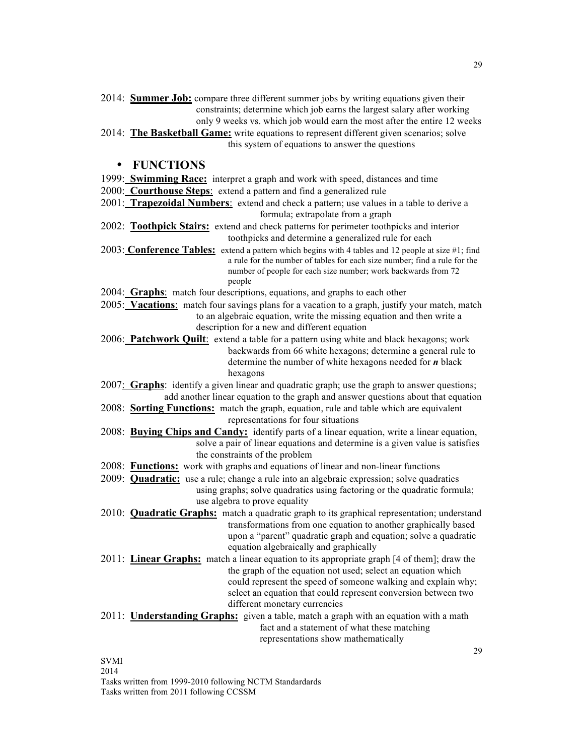- 2014: **Summer Job:** compare three different summer jobs by writing equations given their constraints; determine which job earns the largest salary after working only 9 weeks vs. which job would earn the most after the entire 12 weeks
- 2014: **The Basketball Game:** write equations to represent different given scenarios; solve this system of equations to answer the questions

### • **FUNCTIONS**

- 1999: **Swimming Race:** interpret a graph and work with speed, distances and time
- 2000: **Courthouse Steps**: extend a pattern and find a generalized rule
- 2001: **Trapezoidal Numbers**: extend and check a pattern; use values in a table to derive a formula; extrapolate from a graph
- 2002: **Toothpick Stairs:** extend and check patterns for perimeter toothpicks and interior toothpicks and determine a generalized rule for each
- 2003: **Conference Tables:** extend a pattern which begins with 4 tables and 12 people at size #1; find a rule for the number of tables for each size number; find a rule for the number of people for each size number; work backwards from 72 people
- 2004: **Graphs**: match four descriptions, equations, and graphs to each other
- 2005: **Vacations**: match four savings plans for a vacation to a graph, justify your match, match to an algebraic equation, write the missing equation and then write a description for a new and different equation
- 2006: **Patchwork Quilt**: extend a table for a pattern using white and black hexagons; work backwards from 66 white hexagons; determine a general rule to determine the number of white hexagons needed for *n* black hexagons
- 2007: **Graphs**: identify a given linear and quadratic graph; use the graph to answer questions; add another linear equation to the graph and answer questions about that equation
- 2008: **Sorting Functions:** match the graph, equation, rule and table which are equivalent representations for four situations
- 2008: **Buying Chips and Candy:** identify parts of a linear equation, write a linear equation, solve a pair of linear equations and determine is a given value is satisfies the constraints of the problem
- 2008: **Functions:** work with graphs and equations of linear and non-linear functions
- 2009: **Quadratic:** use a rule; change a rule into an algebraic expression; solve quadratics using graphs; solve quadratics using factoring or the quadratic formula; use algebra to prove equality
- 2010: **Quadratic Graphs:** match a quadratic graph to its graphical representation; understand transformations from one equation to another graphically based upon a "parent" quadratic graph and equation; solve a quadratic equation algebraically and graphically
- 2011: **Linear Graphs:** match a linear equation to its appropriate graph [4 of them]; draw the the graph of the equation not used; select an equation which could represent the speed of someone walking and explain why; select an equation that could represent conversion between two different monetary currencies
- 2011: **Understanding Graphs:** given a table, match a graph with an equation with a math fact and a statement of what these matching representations show mathematically

SVMI